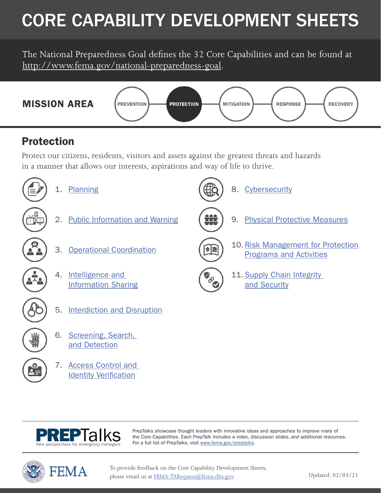# CORE CAPABILITY DEVELOPMENT SHEETS

The National Preparedness Goal defines the 32 Core Capabilities and can be found at [http://www.fema.gov/national-preparedness-goal.](http://www.fema.gov/national-preparedness-goal)



### Protection

Protect our citizens, residents, visitors and assets against the greatest threats and hazards in a manner that allows our interests, aspirations and way of life to thrive.





[7. Access Control and](#page-13-0)  Identity Verification

> PrepTalks showcase thought leaders with innovative ideas and approaches to improve many of the Core Capabilities. Each PrepTalk includes a video, discussion slides, and additional resources. For a full list of PrepTalks, visit [www.fema.gov/preptalks](http://www.fema.gov/preptalks).



To provide feedback on the Core Capability Development Sheets, please email us at [FEMA-TARequest@fema.dhs.gov.](mailto:FEMA-TARequest%40fema.dhs.gov?subject=)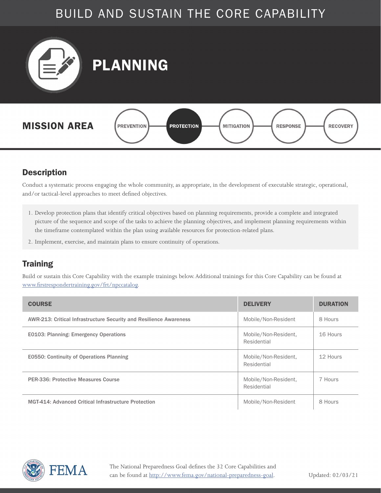<span id="page-1-0"></span>

#### **Description**

Conduct a systematic process engaging the whole community, as appropriate, in the development of executable strategic, operational, and/or tactical-level approaches to meet defined objectives.

- 1. Develop protection plans that identify critical objectives based on planning requirements, provide a complete and integrated picture of the sequence and scope of the tasks to achieve the planning objectives, and implement planning requirements within the timeframe contemplated within the plan using available resources for protection-related plans.
- 2. Implement, exercise, and maintain plans to ensure continuity of operations.

#### **Training**

| <b>COURSE</b>                                                      | <b>DELIVERY</b>                     | <b>DURATION</b> |
|--------------------------------------------------------------------|-------------------------------------|-----------------|
| AWR-213: Critical Infrastructure Security and Resilience Awareness | Mobile/Non-Resident                 | 8 Hours         |
| E0103: Planning: Emergency Operations                              | Mobile/Non-Resident,<br>Residential | 16 Hours        |
| E0550: Continuity of Operations Planning                           | Mobile/Non-Resident,<br>Residential | 12 Hours        |
| <b>PER-336: Protective Measures Course</b>                         | Mobile/Non-Resident,<br>Residential | 7 Hours         |
| MGT-414: Advanced Critical Infrastructure Protection               | Mobile/Non-Resident                 | 8 Hours         |

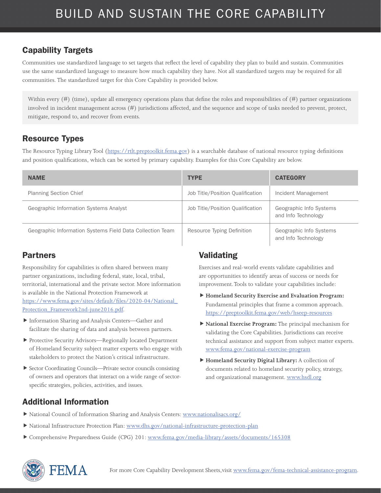Communities use standardized language to set targets that reflect the level of capability they plan to build and sustain. Communities use the same standardized language to measure how much capability they have. Not all standardized targets may be required for all communities. The standardized target for this Core Capability is provided below.

Within every  $(\#)$  (time), update all emergency operations plans that define the roles and responsibilities of  $(\#)$  partner organizations involved in incident management across (#) jurisdictions affected, and the sequence and scope of tasks needed to prevent, protect, mitigate, respond to, and recover from events.

#### Resource Types

The Resource Typing Library Tool (<https://rtlt.preptoolkit.fema.gov>) is a searchable database of national resource typing definitions and position qualifications, which can be sorted by primary capability. Examples for this Core Capability are below.

| <b>NAME</b>                                               | <b>TYPE</b>                      | <b>CATEGORY</b>                                |
|-----------------------------------------------------------|----------------------------------|------------------------------------------------|
| <b>Planning Section Chief</b>                             | Job Title/Position Qualification | Incident Management                            |
| Geographic Information Systems Analyst                    | Job Title/Position Qualification | Geographic Info Systems<br>and Info Technology |
| Geographic Information Systems Field Data Collection Team | Resource Typing Definition       | Geographic Info Systems<br>and Info Technology |

#### Partners

Responsibility for capabilities is often shared between many partner organizations, including federal, state, local, tribal, territorial, international and the private sector. More information is available in the National Protection Framework at [https://www.fema.gov/sites/default/files/2020-04/National\\_](https://www.fema.gov/sites/default/files/2020-04/National_Protection_Framework2nd-june2016.pdf) [Protection\\_Framework2nd-june2016.pdf.](https://www.fema.gov/sites/default/files/2020-04/National_Protection_Framework2nd-june2016.pdf)

- Information Sharing and Analysis Centers—Gather and facilitate the sharing of data and analysis between partners.
- Protective Security Advisors—Regionally located Department of Homeland Security subject matter experts who engage with stakeholders to protect the Nation's critical infrastructure.
- Sector Coordinating Councils—Private sector councils consisting of owners and operators that interact on a wide range of sectorspecific strategies, policies, activities, and issues.

#### Validating

Exercises and real-world events validate capabilities and are opportunities to identify areas of success or needs for improvement. Tools to validate your capabilities include:

- **Homeland Security Exercise and Evaluation Program:**  Fundamental principles that frame a common approach. <https://preptoolkit.fema.gov/web/hseep-resources>
- **National Exercise Program:** The principal mechanism for validating the Core Capabilities. Jurisdictions can receive technical assistance and support from subject matter experts. [www.fema.gov/national-exercise-program](http://www.fema.gov/national-exercise-program)
- **Homeland Security Digital Library:** A collection of documents related to homeland security policy, strategy, and organizational management. [www.hsdl.org](http://www.hsdl.org)

- National Council of Information Sharing and Analysis Centers: [www.nationalisacs.org/](http://www.nationalisacs.org/)
- National Infrastructure Protection Plan: [www.dhs.gov/national-infrastructure-protection-plan](http://www.dhs.gov/national-infrastructure-protection-plan)
- Comprehensive Preparedness Guide (CPG) 201: [www.fema.gov/media-library/assets/documents/165308](http://www.fema.gov/media-library/assets/documents/165308)

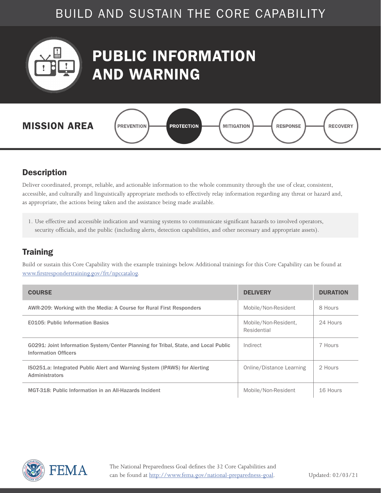<span id="page-3-0"></span>

## PUBLIC INFORMATION AND WARNING



#### **Description**

Deliver coordinated, prompt, reliable, and actionable information to the whole community through the use of clear, consistent, accessible, and culturally and linguistically appropriate methods to effectively relay information regarding any threat or hazard and, as appropriate, the actions being taken and the assistance being made available.

1. Use effective and accessible indication and warning systems to communicate significant hazards to involved operators, security officials, and the public (including alerts, detection capabilities, and other necessary and appropriate assets).

#### **Training**

| <b>COURSE</b>                                                                                                      | <b>DELIVERY</b>                     | <b>DURATION</b> |
|--------------------------------------------------------------------------------------------------------------------|-------------------------------------|-----------------|
| AWR-209: Working with the Media: A Course for Rural First Responders                                               | Mobile/Non-Resident                 | 8 Hours         |
| <b>E0105: Public Information Basics</b>                                                                            | Mobile/Non-Resident,<br>Residential | 24 Hours        |
| G0291: Joint Information System/Center Planning for Tribal, State, and Local Public<br><b>Information Officers</b> | Indirect                            | 7 Hours         |
| ISO251.a: Integrated Public Alert and Warning System (IPAWS) for Alerting<br>Administrators                        | Online/Distance Learning            | 2 Hours         |
| MGT-318: Public Information in an All-Hazards Incident                                                             | Mobile/Non-Resident                 | 16 Hours        |

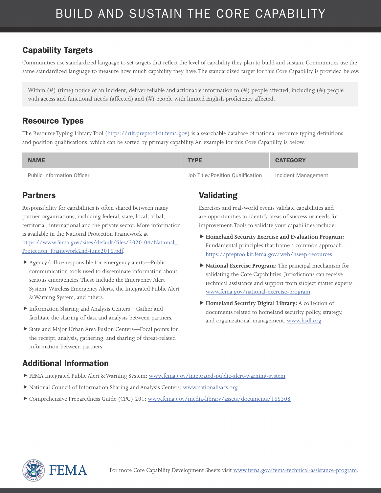Communities use standardized language to set targets that reflect the level of capability they plan to build and sustain. Communities use the same standardized language to measure how much capability they have. The standardized target for this Core Capability is provided below.

Within  $(\#)$  (time) notice of an incident, deliver reliable and actionable information to  $(\#)$  people affected, including  $(\#)$  people with access and functional needs (affected) and (#) people with limited English proficiency affected.

#### Resource Types

The Resource Typing Library Tool (<https://rtlt.preptoolkit.fema.gov>) is a searchable database of national resource typing definitions and position qualifications, which can be sorted by primary capability. An example for this Core Capability is below.

| <b>NAME</b>                | <b>TYPE</b>                      | <b>CATEGORY</b>     |
|----------------------------|----------------------------------|---------------------|
| Public Information Officer | Job Title/Position Oualification | Incident Management |

#### Partners

Responsibility for capabilities is often shared between many partner organizations, including federal, state, local, tribal, territorial, international and the private sector. More information is available in the National Protection Framework at [https://www.fema.gov/sites/default/files/2020-04/National\\_](https://www.fema.gov/sites/default/files/2020-04/National_Protection_Framework2nd-june2016.pdf) [Protection\\_Framework2nd-june2016.pdf.](https://www.fema.gov/sites/default/files/2020-04/National_Protection_Framework2nd-june2016.pdf)

- Agency/office responsible for emergency alerts—Public communication tools used to disseminate information about serious emergencies. These include the Emergency Alert System, Wireless Emergency Alerts, the Integrated Public Alert & Warning System, and others.
- Information Sharing and Analysis Centers—Gather and facilitate the sharing of data and analysis between partners.
- State and Major Urban Area Fusion Centers—Focal points for the receipt, analysis, gathering, and sharing of threat-related information between partners.

#### Validating

Exercises and real-world events validate capabilities and are opportunities to identify areas of success or needs for improvement. Tools to validate your capabilities include:

- **Homeland Security Exercise and Evaluation Program:**  Fundamental principles that frame a common approach. <https://preptoolkit.fema.gov/web/hseep-resources>
- **National Exercise Program:** The principal mechanism for validating the Core Capabilities. Jurisdictions can receive technical assistance and support from subject matter experts. [www.fema.gov/national-exercise-program](http://www.fema.gov/national-exercise-program)
- **Homeland Security Digital Library:** A collection of documents related to homeland security policy, strategy, and organizational management. [www.hsdl.org](http://www.hsdl.org)

- FEMA Integrated Public Alert & Warning System: [www.fema.gov/integrated-public-alert-warning-system](http://www.fema.gov/integrated-public-alert-warning-system)
- National Council of Information Sharing and Analysis Centers: [www.nationalisacs.org](http://www.nationalisacs.org)
- Comprehensive Preparedness Guide (CPG) 201: [www.fema.gov/media-library/assets/documents/165308](http://www.fema.gov/media-library/assets/documents/165308)

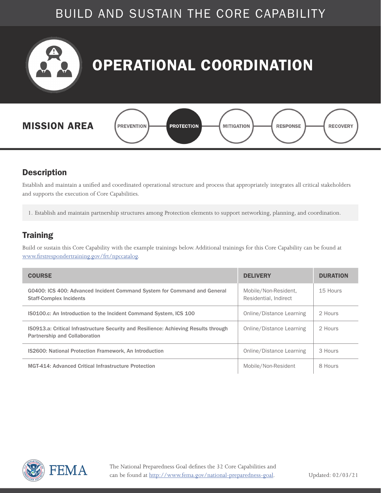<span id="page-5-0"></span>

#### **Description**

Establish and maintain a unified and coordinated operational structure and process that appropriately integrates all critical stakeholders and supports the execution of Core Capabilities.

1. Establish and maintain partnership structures among Protection elements to support networking, planning, and coordination.

#### **Training**

| <b>COURSE</b>                                                                                                                | <b>DELIVERY</b>                               | <b>DURATION</b> |
|------------------------------------------------------------------------------------------------------------------------------|-----------------------------------------------|-----------------|
| G0400: ICS 400: Advanced Incident Command System for Command and General<br><b>Staff-Complex Incidents</b>                   | Mobile/Non-Resident,<br>Residential, Indirect | 15 Hours        |
| <b>ISO100.c: An Introduction to the Incident Command System, ICS 100</b>                                                     | Online/Distance Learning                      | 2 Hours         |
| ISO913.a: Critical Infrastructure Security and Resilience: Achieving Results through<br><b>Partnership and Collaboration</b> | Online/Distance Learning                      | 2 Hours         |
| <b>IS2600: National Protection Framework, An Introduction</b>                                                                | Online/Distance Learning                      | 3 Hours         |
| MGT-414: Advanced Critical Infrastructure Protection                                                                         | Mobile/Non-Resident                           | 8 Hours         |

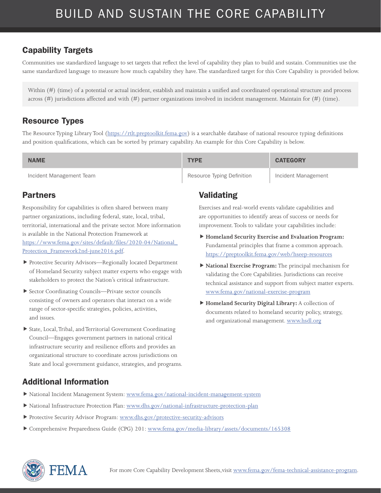Communities use standardized language to set targets that reflect the level of capability they plan to build and sustain. Communities use the same standardized language to measure how much capability they have. The standardized target for this Core Capability is provided below.

Within (#) (time) of a potential or actual incident, establish and maintain a unified and coordinated operational structure and process across (#) jurisdictions affected and with (#) partner organizations involved in incident management. Maintain for (#) (time).

#### Resource Types

The Resource Typing Library Tool (<https://rtlt.preptoolkit.fema.gov>) is a searchable database of national resource typing definitions and position qualifications, which can be sorted by primary capability. An example for this Core Capability is below.

| <b>NAME</b>              | <b>TYPE</b>                | <b>CATEGORY</b>     |
|--------------------------|----------------------------|---------------------|
| Incident Management Team | Resource Typing Definition | Incident Management |

#### Partners

Responsibility for capabilities is often shared between many partner organizations, including federal, state, local, tribal, territorial, international and the private sector. More information is available in the National Protection Framework at [https://www.fema.gov/sites/default/files/2020-04/National\\_](https://www.fema.gov/sites/default/files/2020-04/National_Protection_Framework2nd-june2016.pdf) [Protection\\_Framework2nd-june2016.pdf.](https://www.fema.gov/sites/default/files/2020-04/National_Protection_Framework2nd-june2016.pdf)

- Protective Security Advisors—Regionally located Department of Homeland Security subject matter experts who engage with stakeholders to protect the Nation's critical infrastructure.
- Sector Coordinating Councils—Private sector councils consisting of owners and operators that interact on a wide range of sector-specific strategies, policies, activities, and issues.
- State, Local, Tribal, and Territorial Government Coordinating Council—Engages government partners in national critical infrastructure security and resilience efforts and provides an organizational structure to coordinate across jurisdictions on State and local government guidance, strategies, and programs.

#### Validating

Exercises and real-world events validate capabilities and are opportunities to identify areas of success or needs for improvement. Tools to validate your capabilities include:

- **Homeland Security Exercise and Evaluation Program:**  Fundamental principles that frame a common approach. <https://preptoolkit.fema.gov/web/hseep-resources>
- **National Exercise Program:** The principal mechanism for validating the Core Capabilities. Jurisdictions can receive technical assistance and support from subject matter experts. [www.fema.gov/national-exercise-program](http://www.fema.gov/national-exercise-program)
- **Homeland Security Digital Library:** A collection of documents related to homeland security policy, strategy, and organizational management. [www.hsdl.org](http://www.hsdl.org)

- National Incident Management System: [www.fema.gov/national-incident-management-system](http://www.fema.gov/national-incident-management-system)
- National Infrastructure Protection Plan: [www.dhs.gov/national-infrastructure-protection-plan](http://www.dhs.gov/national-infrastructure-protection-plan)
- Protective Security Advisor Program: [www.dhs.gov/protective-security-advisors](http://www.dhs.gov/protective-security-advisors)
- Comprehensive Preparedness Guide (CPG) 201: [www.fema.gov/media-library/assets/documents/165308](http://www.fema.gov/media-library/assets/documents/165308)

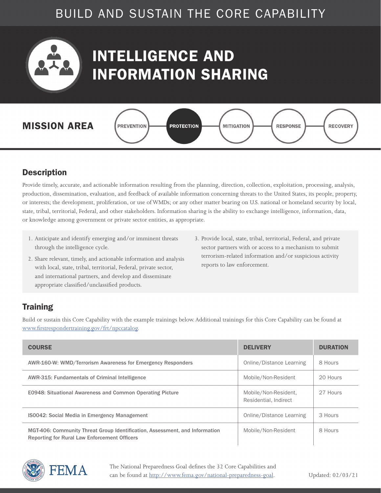<span id="page-7-0"></span>

## INTELLIGENCE AND INFORMATION SHARING



#### **Description**

Provide timely, accurate, and actionable information resulting from the planning, direction, collection, exploitation, processing, analysis, production, dissemination, evaluation, and feedback of available information concerning threats to the United States, its people, property, or interests; the development, proliferation, or use of WMDs; or any other matter bearing on U.S. national or homeland security by local, state, tribal, territorial, Federal, and other stakeholders. Information sharing is the ability to exchange intelligence, information, data, or knowledge among government or private sector entities, as appropriate.

- 1. Anticipate and identify emerging and/or imminent threats through the intelligence cycle.
- 3. Provide local, state, tribal, territorial, Federal, and private sector partners with or access to a mechanism to submit terrorism-related information and/or suspicious activity reports to law enforcement.
- 2. Share relevant, timely, and actionable information and analysis with local, state, tribal, territorial, Federal, private sector, and international partners, and develop and disseminate appropriate classified/unclassified products.

#### **Training**

| <b>COURSE</b>                                                                                                                      | <b>DELIVERY</b>                               | <b>DURATION</b> |
|------------------------------------------------------------------------------------------------------------------------------------|-----------------------------------------------|-----------------|
| AWR-160-W: WMD/Terrorism Awareness for Emergency Responders                                                                        | Online/Distance Learning                      | 8 Hours         |
| AWR-315: Fundamentals of Criminal Intelligence                                                                                     | Mobile/Non-Resident                           | 20 Hours        |
| <b>E0948: Situational Awareness and Common Operating Picture</b>                                                                   | Mobile/Non-Resident,<br>Residential, Indirect | 27 Hours        |
| <b>IS0042: Social Media in Emergency Management</b>                                                                                | Online/Distance Learning                      | 3 Hours         |
| MGT-406: Community Threat Group Identification, Assessment, and Information<br><b>Reporting for Rural Law Enforcement Officers</b> | Mobile/Non-Resident                           | 8 Hours         |

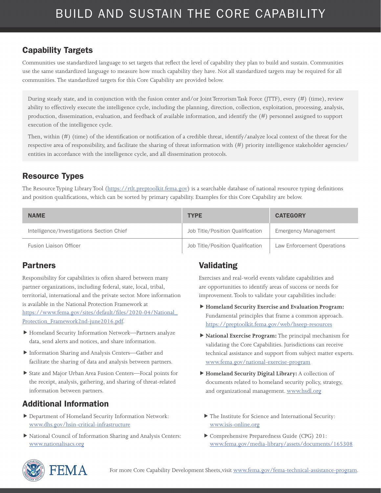#### Capability Targets

Communities use standardized language to set targets that reflect the level of capability they plan to build and sustain. Communities use the same standardized language to measure how much capability they have. Not all standardized targets may be required for all communities. The standardized targets for this Core Capability are provided below.

During steady state, and in conjunction with the fusion center and/or Joint Terrorism Task Force (JTTF), every (#) (time), review ability to effectively execute the intelligence cycle, including the planning, direction, collection, exploitation, processing, analysis, production, dissemination, evaluation, and feedback of available information, and identify the (#) personnel assigned to support execution of the intelligence cycle.

Then, within (#) (time) of the identification or notification of a credible threat, identify/analyze local context of the threat for the respective area of responsibility, and facilitate the sharing of threat information with (#) priority intelligence stakeholder agencies/ entities in accordance with the intelligence cycle, and all dissemination protocols.

#### Resource Types

The Resource Typing Library Tool (<https://rtlt.preptoolkit.fema.gov>) is a searchable database of national resource typing definitions and position qualifications, which can be sorted by primary capability. Examples for this Core Capability are below.

| <b>NAME</b>                               | <b>TYPE</b>                      | <b>CATEGORY</b>             |
|-------------------------------------------|----------------------------------|-----------------------------|
| Intelligence/Investigations Section Chief | Job Title/Position Qualification | <b>Emergency Management</b> |
| <b>Fusion Liaison Officer</b>             | Job Title/Position Qualification | Law Enforcement Operations  |

#### Partners

Responsibility for capabilities is often shared between many partner organizations, including federal, state, local, tribal, territorial, international and the private sector. More information is available in the National Protection Framework at https://www.fema.gov/sites/default/files/2020-04/National\_ Protection\_Framework2nd-june2016.pdf.

- Homeland Security Information Network—Partners analyze data, send alerts and notices, and share information.
- Information Sharing and Analysis Centers—Gather and facilitate the sharing of data and analysis between partners.
- State and Major Urban Area Fusion Centers—Focal points for the receipt, analysis, gathering, and sharing of threat-related information between partners.

#### Additional Information

- Department of Homeland Security Information Network: [www.dhs.gov/hsin-critical-infrastructure](http://www.dhs.gov/hsin-critical-infrastructure)
- National Council of Information Sharing and Analysis Centers: [www.nationalisacs.org](http://www.nationalisacs.org)

#### Validating

Exercises and real-world events validate capabilities and are opportunities to identify areas of success or needs for improvement. Tools to validate your capabilities include:

- **Homeland Security Exercise and Evaluation Program:**  Fundamental principles that frame a common approach. <https://preptoolkit.fema.gov/web/hseep-resources>
- **National Exercise Program:** The principal mechanism for validating the Core Capabilities. Jurisdictions can receive technical assistance and support from subject matter experts. [www.fema.gov/national-exercise-program](http://www.fema.gov/national-exercise-program)
- **Homeland Security Digital Library:** A collection of documents related to homeland security policy, strategy, and organizational management. [www.hsdl.org](http://www.hsdl.org)
	- The Institute for Science and International Security: [www.isis-online.org](http://www.isis-online.org)
	- Comprehensive Preparedness Guide (CPG) 201: [www.fema.gov/media-library/assets/documents/165308](http://www.fema.gov/media-library/assets/documents/165308)

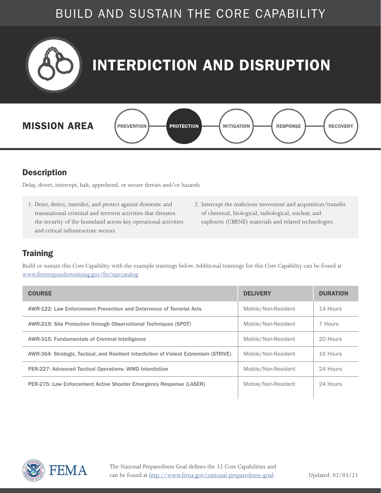<span id="page-9-0"></span>

#### **Description**

Delay, divert, intercept, halt, apprehend, or secure threats and/or hazards.

- 1. Deter, detect, interdict, and protect against domestic and transnational criminal and terrorist activities that threaten the security of the homeland across key operational activities and critical infrastructure sectors.
- 2. Intercept the malicious movement and acquisition/transfer of chemical, biological, radiological, nuclear, and explosive (CBRNE) materials and related technologies.

#### **Training**

| <b>COURSE</b>                                                                          | <b>DELIVERY</b>     | <b>DURATION</b> |
|----------------------------------------------------------------------------------------|---------------------|-----------------|
| AWR-122: Law Enforcement Prevention and Deterrence of Terrorist Acts                   | Mobile/Non-Resident | 14 Hours        |
| AWR-219: Site Protection through Observational Techniques (SPOT)                       | Mobile/Non-Resident | 7 Hours         |
| AWR-315: Fundamentals of Criminal Intelligence                                         | Mobile/Non-Resident | 20 Hours        |
| AWR-364: Strategic, Tactical, and Resilient Interdiction of Violent Extremism (STRIVE) | Mobile/Non-Resident | 16 Hours        |
| <b>PER-227: Advanced Tactical Operations: WMD Interdiction</b>                         | Mobile/Non-Resident | 24 Hours        |
| PER-275: Law Enforcement Active Shooter Emergency Response (LASER)                     | Mobile/Non-Resident | 24 Hours        |
|                                                                                        |                     |                 |

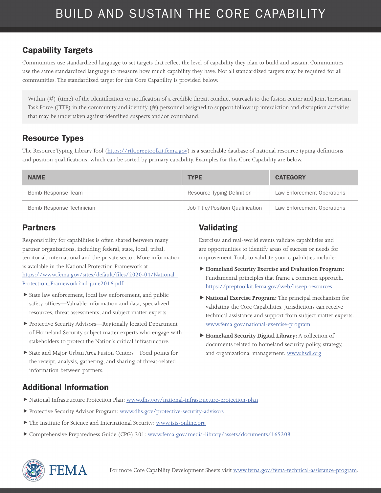Communities use standardized language to set targets that reflect the level of capability they plan to build and sustain. Communities use the same standardized language to measure how much capability they have. Not all standardized targets may be required for all communities. The standardized target for this Core Capability is provided below.

Within (#) (time) of the identification or notification of a credible threat, conduct outreach to the fusion center and Joint Terrorism Task Force (JTTF) in the community and identify (#) personnel assigned to support follow up interdiction and disruption activities that may be undertaken against identified suspects and/or contraband.

#### Resource Types

The Resource Typing Library Tool (<https://rtlt.preptoolkit.fema.gov>) is a searchable database of national resource typing definitions and position qualifications, which can be sorted by primary capability. Examples for this Core Capability are below.

| <b>NAME</b>              | <b>TYPE</b>                      | <b>CATEGORY</b>            |
|--------------------------|----------------------------------|----------------------------|
| Bomb Response Team       | Resource Typing Definition       | Law Enforcement Operations |
| Bomb Response Technician | Job Title/Position Qualification | Law Enforcement Operations |

#### Partners

Responsibility for capabilities is often shared between many partner organizations, including federal, state, local, tribal, territorial, international and the private sector. More information is available in the National Protection Framework at [https://www.fema.gov/sites/default/files/2020-04/National\\_](https://www.fema.gov/sites/default/files/2020-04/National_Protection_Framework2nd-june2016.pdf) [Protection\\_Framework2nd-june2016.pdf.](https://www.fema.gov/sites/default/files/2020-04/National_Protection_Framework2nd-june2016.pdf)

- State law enforcement, local law enforcement, and public safety offices—Valuable information and data, specialized resources, threat assessments, and subject matter experts.
- Protective Security Advisors—Regionally located Department of Homeland Security subject matter experts who engage with stakeholders to protect the Nation's critical infrastructure.
- State and Major Urban Area Fusion Centers—Focal points for the receipt, analysis, gathering, and sharing of threat-related information between partners.

#### Validating

Exercises and real-world events validate capabilities and are opportunities to identify areas of success or needs for improvement. Tools to validate your capabilities include:

- **Homeland Security Exercise and Evaluation Program:**  Fundamental principles that frame a common approach. <https://preptoolkit.fema.gov/web/hseep-resources>
- **National Exercise Program:** The principal mechanism for validating the Core Capabilities. Jurisdictions can receive technical assistance and support from subject matter experts. [www.fema.gov/national-exercise-program](http://www.fema.gov/national-exercise-program)
- **Homeland Security Digital Library:** A collection of documents related to homeland security policy, strategy, and organizational management. [www.hsdl.org](http://www.hsdl.org)

- National Infrastructure Protection Plan: [www.dhs.gov/national-infrastructure-protection-plan](http://www.dhs.gov/national-infrastructure-protection-plan)
- Protective Security Advisor Program: [www.dhs.gov/protective-security-advisors](http://www.dhs.gov/protective-security-advisors)
- The Institute for Science and International Security: [www.isis-online.org](http://www.isis-online.org)
- Comprehensive Preparedness Guide (CPG) 201: [www.fema.gov/media-library/assets/documents/165308](http://www.fema.gov/media-library/assets/documents/165308)

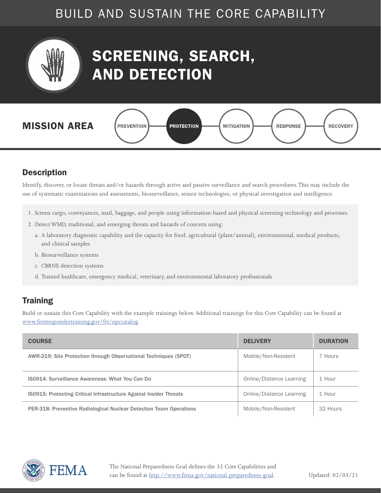<span id="page-11-0"></span>

## SCREENING, SEARCH, AND DETECTION



#### **Description**

Identify, discover, or locate threats and/or hazards through active and passive surveillance and search procedures. This may include the use of systematic examinations and assessments, biosurveillance, sensor technologies, or physical investigation and intelligence.

- 1. Screen cargo, conveyances, mail, baggage, and people using information-based and physical screening technology and processes.
- 2. Detect WMD, traditional, and emerging threats and hazards of concern using:
	- a. A laboratory diagnostic capability and the capacity for food, agricultural (plant/animal), environmental, medical products, and clinical samples
	- b. Biosurveillance systems
	- c. CBRNE detection systems
	- d. Trained healthcare, emergency medical, veterinary, and environmental laboratory professionals

#### **Training**

| <b>COURSE</b>                                                      | <b>DELIVERY</b>          | <b>DURATION</b> |
|--------------------------------------------------------------------|--------------------------|-----------------|
| AWR-219: Site Protection through Observational Techniques (SPOT)   | Mobile/Non-Resident      | 7 Hours         |
| <b>IS0914: Surveillance Awareness: What You Can Do</b>             | Online/Distance Learning | 1 Hour          |
| IS0915: Protecting Critical Infrastructure Against Insider Threats | Online/Distance Learning | 1 Hour          |
| PER-318: Preventive Radiological Nuclear Detection Team Operations | Mobile/Non-Resident      | 32 Hours        |

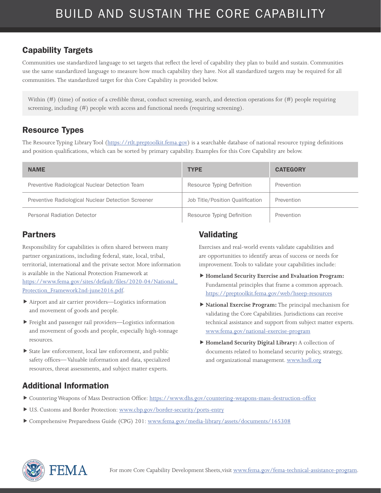Communities use standardized language to set targets that reflect the level of capability they plan to build and sustain. Communities use the same standardized language to measure how much capability they have. Not all standardized targets may be required for all communities. The standardized target for this Core Capability is provided below.

Within (#) (time) of notice of a credible threat, conduct screening, search, and detection operations for (#) people requiring screening, including (#) people with access and functional needs (requiring screening).

#### Resource Types

The Resource Typing Library Tool (<https://rtlt.preptoolkit.fema.gov>) is a searchable database of national resource typing definitions and position qualifications, which can be sorted by primary capability. Examples for this Core Capability are below.

| <b>NAME</b>                                        | <b>TYPE</b>                      | <b>CATEGORY</b> |
|----------------------------------------------------|----------------------------------|-----------------|
| Preventive Radiological Nuclear Detection Team     | Resource Typing Definition       | Prevention      |
| Preventive Radiological Nuclear Detection Screener | Job Title/Position Qualification | Prevention      |
| Personal Radiation Detector                        | Resource Typing Definition       | Prevention      |

#### Partners

Responsibility for capabilities is often shared between many partner organizations, including federal, state, local, tribal, territorial, international and the private sector. More information is available in the National Protection Framework at [https://www.fema.gov/sites/default/files/2020-04/National\\_](https://www.fema.gov/sites/default/files/2020-04/National_Protection_Framework2nd-june2016.pdf) [Protection\\_Framework2nd-june2016.pdf.](https://www.fema.gov/sites/default/files/2020-04/National_Protection_Framework2nd-june2016.pdf)

- Airport and air carrier providers—Logistics information and movement of goods and people.
- Freight and passenger rail providers—Logistics information and movement of goods and people, especially high-tonnage resources.
- State law enforcement, local law enforcement, and public safety offices— Valuable information and data, specialized resources, threat assessments, and subject matter experts.

#### Validating

Exercises and real-world events validate capabilities and are opportunities to identify areas of success or needs for improvement. Tools to validate your capabilities include:

- **Homeland Security Exercise and Evaluation Program:**  Fundamental principles that frame a common approach. <https://preptoolkit.fema.gov/web/hseep-resources>
- **National Exercise Program:** The principal mechanism for validating the Core Capabilities. Jurisdictions can receive technical assistance and support from subject matter experts. [www.fema.gov/national-exercise-program](http://www.fema.gov/national-exercise-program)
- **Homeland Security Digital Library:** A collection of documents related to homeland security policy, strategy, and organizational management. [www.hsdl.org](http://www.hsdl.org)

- Countering Weapons of Mass Destruction Office:<https://www.dhs.gov/countering-weapons-mass-destruction-office>
- ▶ U.S. Customs and Border Protection: [www.cbp.gov/border-security/ports-entry](http://www.cbp.gov/border-security/ports-entry)
- Comprehensive Preparedness Guide (CPG) 201: [www.fema.gov/media-library/assets/documents/165308](http://www.fema.gov/media-library/assets/documents/165308)

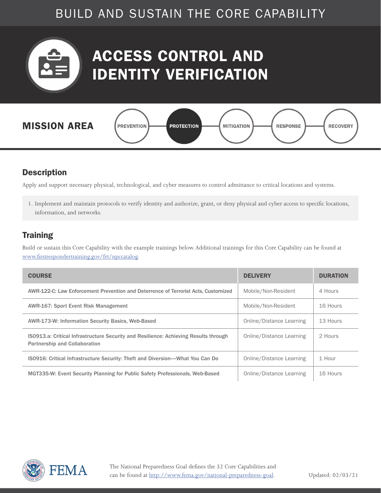<span id="page-13-0"></span>

## ACCESS CONTROL AND IDENTITY VERIFICATION



#### **Description**

Apply and support necessary physical, technological, and cyber measures to control admittance to critical locations and systems.

1. Implement and maintain protocols to verify identity and authorize, grant, or deny physical and cyber access to specific locations, information, and networks.

#### **Training**

| <b>COURSE</b>                                                                                                                | <b>DELIVERY</b>          | <b>DURATION</b> |
|------------------------------------------------------------------------------------------------------------------------------|--------------------------|-----------------|
| AWR-122-C: Law Enforcement Prevention and Deterrence of Terrorist Acts, Customized                                           | Mobile/Non-Resident      | 4 Hours         |
| <b>AWR-167: Sport Event Risk Management</b>                                                                                  | Mobile/Non-Resident      | 16 Hours        |
| AWR-173-W: Information Security Basics, Web-Based                                                                            | Online/Distance Learning | 13 Hours        |
| ISO913.a: Critical Infrastructure Security and Resilience: Achieving Results through<br><b>Partnership and Collaboration</b> | Online/Distance Learning | 2 Hours         |
| IS0916: Critical Infrastructure Security: Theft and Diversion—What You Can Do                                                | Online/Distance Learning | 1 Hour          |
| MGT335-W: Event Security Planning for Public Safety Professionals, Web-Based                                                 | Online/Distance Learning | 16 Hours        |

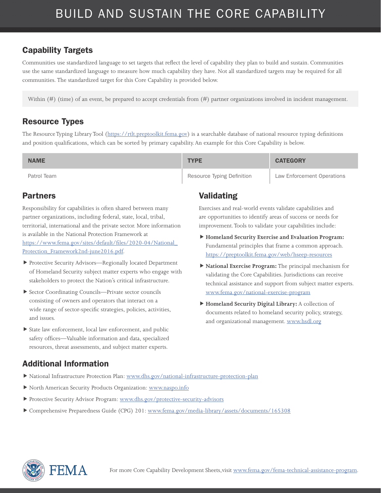Communities use standardized language to set targets that reflect the level of capability they plan to build and sustain. Communities use the same standardized language to measure how much capability they have. Not all standardized targets may be required for all communities. The standardized target for this Core Capability is provided below.

Within (#) (time) of an event, be prepared to accept credentials from (#) partner organizations involved in incident management.

#### Resource Types

The Resource Typing Library Tool (<https://rtlt.preptoolkit.fema.gov>) is a searchable database of national resource typing definitions and position qualifications, which can be sorted by primary capability. An example for this Core Capability is below.

| <b>NAME</b> | <b>TYPE</b>                | <b>CATEGORY</b>            |
|-------------|----------------------------|----------------------------|
| Patrol Team | Resource Typing Definition | Law Enforcement Operations |

#### Partners

Responsibility for capabilities is often shared between many partner organizations, including federal, state, local, tribal, territorial, international and the private sector. More information is available in the National Protection Framework at [https://www.fema.gov/sites/default/files/2020-04/National\\_](https://www.fema.gov/sites/default/files/2020-04/National_Protection_Framework2nd-june2016.pdf) [Protection\\_Framework2nd-june2016.pdf.](https://www.fema.gov/sites/default/files/2020-04/National_Protection_Framework2nd-june2016.pdf)

- Protective Security Advisors—Regionally located Department of Homeland Security subject matter experts who engage with stakeholders to protect the Nation's critical infrastructure.
- Sector Coordinating Councils—Private sector councils consisting of owners and operators that interact on a wide range of sector-specific strategies, policies, activities, and issues.
- State law enforcement, local law enforcement, and public safety offices—Valuable information and data, specialized resources, threat assessments, and subject matter experts.

#### Validating

Exercises and real-world events validate capabilities and are opportunities to identify areas of success or needs for improvement. Tools to validate your capabilities include:

- **Homeland Security Exercise and Evaluation Program:**  Fundamental principles that frame a common approach. <https://preptoolkit.fema.gov/web/hseep-resources>
- **National Exercise Program:** The principal mechanism for validating the Core Capabilities. Jurisdictions can receive technical assistance and support from subject matter experts. [www.fema.gov/national-exercise-program](http://www.fema.gov/national-exercise-program)
- **Homeland Security Digital Library:** A collection of documents related to homeland security policy, strategy, and organizational management. [www.hsdl.org](http://www.hsdl.org)

- National Infrastructure Protection Plan: [www.dhs.gov/national-infrastructure-protection-plan](http://www.dhs.gov/national-infrastructure-protection-plan)
- North American Security Products Organization: [www.naspo.info](http://www.naspo.info)
- Protective Security Advisor Program: [www.dhs.gov/protective-security-advisors](http://www.dhs.gov/protective-security-advisors)
- Comprehensive Preparedness Guide (CPG) 201: [www.fema.gov/media-library/assets/documents/165308](http://www.fema.gov/media-library/assets/documents/165308)

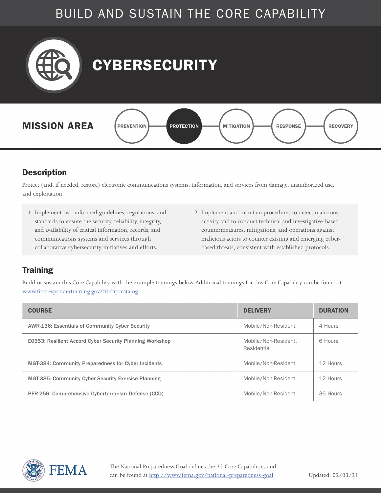<span id="page-15-0"></span>

#### **Description**

Protect (and, if needed, restore) electronic communications systems, information, and services from damage, unauthorized use, and exploitation.

- 1. Implement risk-informed guidelines, regulations, and standards to ensure the security, reliability, integrity, and availability of critical information, records, and communications systems and services through collaborative cybersecurity initiatives and efforts.
- 2. Implement and maintain procedures to detect malicious activity and to conduct technical and investigative-based countermeasures, mitigations, and operations against malicious actors to counter existing and emerging cyberbased threats, consistent with established protocols.

#### **Training**

| <b>COURSE</b>                                              | <b>DELIVERY</b>                     | <b>DURATION</b> |
|------------------------------------------------------------|-------------------------------------|-----------------|
| <b>AWR-136: Essentials of Community Cyber Security</b>     | Mobile/Non-Resident                 | 4 Hours         |
| E0553: Resilient Accord Cyber Security Planning Workshop   | Mobile/Non-Resident,<br>Residential | 6 Hours         |
| <b>MGT-384: Community Preparedness for Cyber Incidents</b> | Mobile/Non-Resident                 | 12 Hours        |
| <b>MGT-385: Community Cyber Security Exercise Planning</b> | Mobile/Non-Resident                 | 12 Hours        |
| PER-256: Comprehensive Cyberterrorism Defense (CCD)        | Mobile/Non-Resident                 | 36 Hours        |

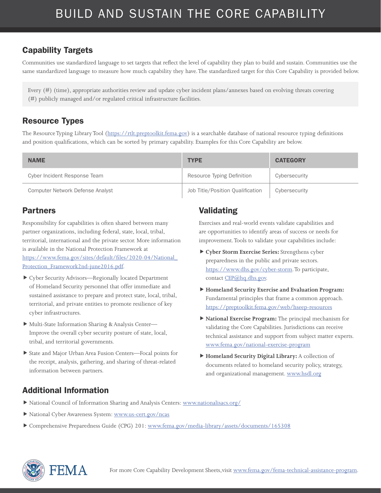Communities use standardized language to set targets that reflect the level of capability they plan to build and sustain. Communities use the same standardized language to measure how much capability they have. The standardized target for this Core Capability is provided below.

Every (#) (time), appropriate authorities review and update cyber incident plans/annexes based on evolving threats covering (#) publicly managed and/or regulated critical infrastructure facilities.

#### Resource Types

The Resource Typing Library Tool (<https://rtlt.preptoolkit.fema.gov>) is a searchable database of national resource typing definitions and position qualifications, which can be sorted by primary capability. Examples for this Core Capability are below.

| <b>NAME</b>                      | <b>TYPE</b>                      | <b>CATEGORY</b> |
|----------------------------------|----------------------------------|-----------------|
| Cyber Incident Response Team     | Resource Typing Definition       | Cybersecurity   |
| Computer Network Defense Analyst | Job Title/Position Qualification | Cybersecurity   |

#### Partners

Responsibility for capabilities is often shared between many partner organizations, including federal, state, local, tribal, territorial, international and the private sector. More information is available in the National Protection Framework at [https://www.fema.gov/sites/default/files/2020-04/National\\_](https://www.fema.gov/sites/default/files/2020-04/National_Protection_Framework2nd-june2016.pdf) [Protection\\_Framework2nd-june2016.pdf.](https://www.fema.gov/sites/default/files/2020-04/National_Protection_Framework2nd-june2016.pdf)

- Cyber Security Advisors—Regionally located Department of Homeland Security personnel that offer immediate and sustained assistance to prepare and protect state, local, tribal, territorial, and private entities to promote resilience of key cyber infrastructures.
- Multi-State Information Sharing & Analysis Center— Improve the overall cyber security posture of state, local, tribal, and territorial governments.
- State and Major Urban Area Fusion Centers—Focal points for the receipt, analysis, gathering, and sharing of threat-related information between partners.

#### Validating

Exercises and real-world events validate capabilities and are opportunities to identify areas of success or needs for improvement. Tools to validate your capabilities include:

- **Cyber Storm Exercise Series:** Strengthens cyber preparedness in the public and private sectors. [https://www.dhs.gov/cyber-storm.](https://www.dhs.gov/cyber-storm) To participate, contact [CEP@hq.dhs.gov.](mailto:CEP%40hq.dhs.gov?subject=)
- **Homeland Security Exercise and Evaluation Program:**  Fundamental principles that frame a common approach. <https://preptoolkit.fema.gov/web/hseep-resources>
- **National Exercise Program:** The principal mechanism for validating the Core Capabilities. Jurisdictions can receive technical assistance and support from subject matter experts. [www.fema.gov/national-exercise-program](http://www.fema.gov/national-exercise-program)
- **Homeland Security Digital Library:** A collection of documents related to homeland security policy, strategy, and organizational management. [www.hsdl.org](http://www.hsdl.org)

- National Council of Information Sharing and Analysis Centers: [www.nationalisacs.org/](http://www.nationalisacs.org/)
- National Cyber Awareness System: [www.us-cert.gov/ncas](http://www.us-cert.gov/ncas)
- Comprehensive Preparedness Guide (CPG) 201: [www.fema.gov/media-library/assets/documents/165308](http://www.fema.gov/media-library/assets/documents/165308)

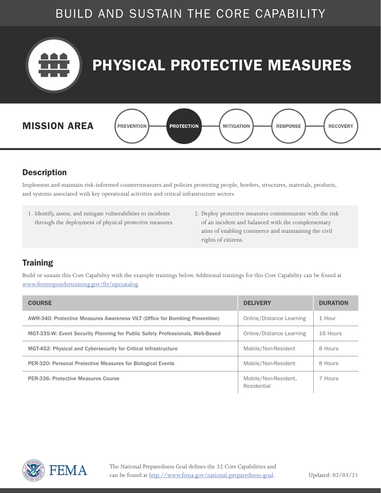<span id="page-17-0"></span>

#### **Description**

Implement and maintain risk-informed countermeasures and policies protecting people, borders, structures, materials, products, and systems associated with key operational activities and critical infrastructure sectors.

- 1. Identify, assess, and mitigate vulnerabilities to incidents through the deployment of physical protective measures.
- 2. Deploy protective measures commensurate with the risk of an incident and balanced with the complementary aims of enabling commerce and maintaining the civil rights of citizens.

#### **Training**

| <b>COURSE</b>                                                                 | <b>DELIVERY</b>                     | <b>DURATION</b> |
|-------------------------------------------------------------------------------|-------------------------------------|-----------------|
| AWR-340: Protective Measures Awareness VILT (Office for Bombing Prevention)   | Online/Distance Learning            | 1 Hour          |
| MGT-335-W: Event Security Planning for Public Safety Professionals, Web-Based | Online/Distance Learning            | 16 Hours        |
| MGT-452: Physical and Cybersecurity for Critical Infrastructure               | Mobile/Non-Resident                 | 8 Hours         |
| <b>PER-320: Personal Protective Measures for Biological Events</b>            | Mobile/Non-Resident                 | 8 Hours         |
| PER-336: Protective Measures Course                                           | Mobile/Non-Resident.<br>Residential | 7 Hours         |

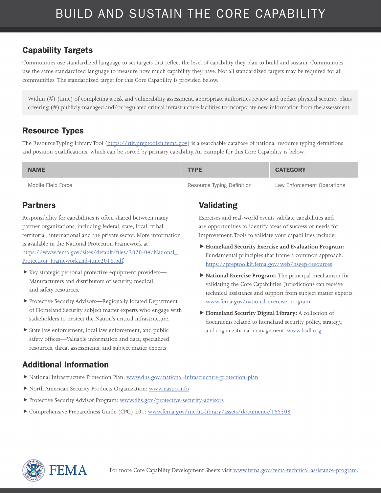Communities use standardized language to set targets that reflect the level of capability they plan to build and sustain. Communities use the same standardized language to measure how much capability they have. Not all standardized targets may be required for all communities. The standardized target for this Core Capability is provided below.

Within (#) (time) of completing a risk and vulnerability assessment, appropriate authorities review and update physical security plans covering (#) publicly managed and/or regulated critical infrastructure facilities to incorporate new information from the assessment.

#### Resource Types

The Resource Typing Library Tool (<https://rtlt.preptoolkit.fema.gov>) is a searchable database of national resource typing definitions and position qualifications, which can be sorted by primary capability. An example for this Core Capability is below.

| <b>NAME</b>        | <b>TYPE</b>                | <b>CATEGORY</b>            |
|--------------------|----------------------------|----------------------------|
| Mobile Field Force | Resource Typing Definition | Law Enforcement Operations |

#### Partners

Responsibility for capabilities is often shared between many partner organizations, including federal, state, local, tribal, territorial, international and the private sector. More information is available in the National Protection Framework at [https://www.fema.gov/sites/default/files/2020-04/National\\_](https://www.fema.gov/sites/default/files/2020-04/National_Protection_Framework2nd-june2016.pdf) [Protection\\_Framework2nd-june2016.pdf.](https://www.fema.gov/sites/default/files/2020-04/National_Protection_Framework2nd-june2016.pdf)

- ▶ Key strategic personal protective equipment providers— Manufacturers and distributors of security, medical, and safety resources.
- Protective Security Advisors—Regionally located Department of Homeland Security subject matter experts who engage with stakeholders to protect the Nation's critical infrastructure.
- State law enforcement, local law enforcement, and public safety offices—Valuable information and data, specialized resources, threat assessments, and subject matter experts.

### Validating

Exercises and real-world events validate capabilities and are opportunities to identify areas of success or needs for improvement. Tools to validate your capabilities include:

- **Homeland Security Exercise and Evaluation Program:**  Fundamental principles that frame a common approach. <https://preptoolkit.fema.gov/web/hseep-resources>
- **National Exercise Program:** The principal mechanism for validating the Core Capabilities. Jurisdictions can receive technical assistance and support from subject matter experts. [www.fema.gov/national-exercise-program](http://www.fema.gov/national-exercise-program)
- **Homeland Security Digital Library:** A collection of documents related to homeland security policy, strategy, and organizational management. [www.hsdl.org](http://www.hsdl.org)

- National Infrastructure Protection Plan: [www.dhs.gov/national-infrastructure-protection-plan](http://www.dhs.gov/national-infrastructure-protection-plan)
- North American Security Products Organization: [www.naspo.info](http://www.naspo.info)
- Protective Security Advisor Program: [www.dhs.gov/protective-security-advisors](http://www.dhs.gov/protective-security-advisors)
- Comprehensive Preparedness Guide (CPG) 201: [www.fema.gov/media-library/assets/documents/165308](http://www.fema.gov/media-library/assets/documents/165308)

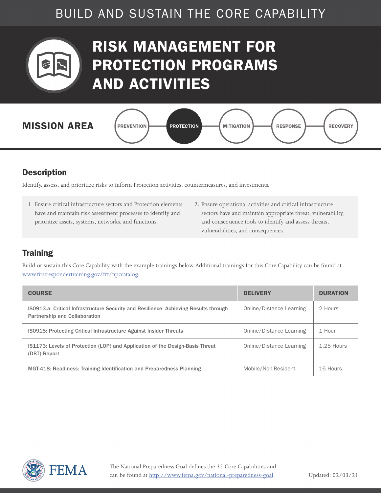<span id="page-19-0"></span>

## RISK MANAGEMENT FOR PROTECTION PROGRAMS AND ACTIVITIES



#### **Description**

Identify, assess, and prioritize risks to inform Protection activities, countermeasures, and investments.

- 1. Ensure critical infrastructure sectors and Protection elements have and maintain risk assessment processes to identify and prioritize assets, systems, networks, and functions.
- 2. Ensure operational activities and critical infrastructure sectors have and maintain appropriate threat, vulnerability, and consequence tools to identify and assess threats, vulnerabilities, and consequences.

#### **Training**

| <b>COURSE</b>                                                                                                                | <b>DELIVERY</b>          | <b>DURATION</b> |
|------------------------------------------------------------------------------------------------------------------------------|--------------------------|-----------------|
| ISO913.a: Critical Infrastructure Security and Resilience: Achieving Results through<br><b>Partnership and Collaboration</b> | Online/Distance Learning | 2 Hours         |
| IS0915: Protecting Critical Infrastructure Against Insider Threats                                                           | Online/Distance Learning | 1 Hour          |
| <b>IS1173: Levels of Protection (LOP) and Application of the Design-Basis Threat</b><br>(DBT) Report                         | Online/Distance Learning | $1.25$ Hours    |
| MGT-418: Readiness: Training Identification and Preparedness Planning                                                        | Mobile/Non-Resident      | 16 Hours        |

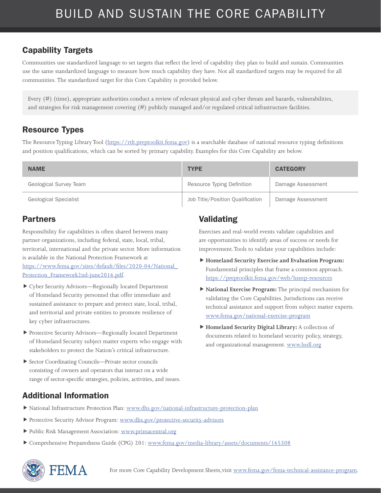Communities use standardized language to set targets that reflect the level of capability they plan to build and sustain. Communities use the same standardized language to measure how much capability they have. Not all standardized targets may be required for all communities. The standardized target for this Core Capability is provided below.

Every (#) (time), appropriate authorities conduct a review of relevant physical and cyber threats and hazards, vulnerabilities, and strategies for risk management covering (#) publicly managed and/or regulated critical infrastructure facilities.

#### Resource Types

The Resource Typing Library Tool (<https://rtlt.preptoolkit.fema.gov>) is a searchable database of national resource typing definitions and position qualifications, which can be sorted by primary capability. Examples for this Core Capability are below.

| <b>NAME</b>                  | <b>TYPE</b>                      | <b>CATEGORY</b>   |
|------------------------------|----------------------------------|-------------------|
| Geological Survey Team       | Resource Typing Definition       | Damage Assessment |
| <b>Geological Specialist</b> | Job Title/Position Qualification | Damage Assessment |

#### Partners

Responsibility for capabilities is often shared between many partner organizations, including federal, state, local, tribal, territorial, international and the private sector. More information is available in the National Protection Framework at [https://www.fema.gov/sites/default/files/2020-04/National\\_](https://www.fema.gov/sites/default/files/2020-04/National_Protection_Framework2nd-june2016.pdf) [Protection\\_Framework2nd-june2016.pdf.](https://www.fema.gov/sites/default/files/2020-04/National_Protection_Framework2nd-june2016.pdf)

- Cyber Security Advisors—Regionally located Department of Homeland Security personnel that offer immediate and sustained assistance to prepare and protect state, local, tribal, and territorial and private entities to promote resilience of key cyber infrastructures.
- Protective Security Advisors—Regionally located Department of Homeland Security subject matter experts who engage with stakeholders to protect the Nation's critical infrastructure.
- Sector Coordinating Councils—Private sector councils consisting of owners and operators that interact on a wide range of sector-specific strategies, policies, activities, and issues.

#### Validating

Exercises and real-world events validate capabilities and are opportunities to identify areas of success or needs for improvement. Tools to validate your capabilities include:

- **Homeland Security Exercise and Evaluation Program:**  Fundamental principles that frame a common approach. <https://preptoolkit.fema.gov/web/hseep-resources>
- **National Exercise Program:** The principal mechanism for validating the Core Capabilities. Jurisdictions can receive technical assistance and support from subject matter experts. [www.fema.gov/national-exercise-program](http://www.fema.gov/national-exercise-program)
- **Homeland Security Digital Library:** A collection of documents related to homeland security policy, strategy, and organizational management. [www.hsdl.org](http://www.hsdl.org)

- National Infrastructure Protection Plan: [www.dhs.gov/national-infrastructure-protection-plan](http://www.dhs.gov/national-infrastructure-protection-plan)
- Protective Security Advisor Program: [www.dhs.gov/protective-security-advisors](http://www.dhs.gov/protective-security-advisors)
- Public Risk Management Association: [www.primacentral.org](http://www.primacentral.org)
- Comprehensive Preparedness Guide (CPG) 201: [www.fema.gov/media-library/assets/documents/165308](http://www.fema.gov/media-library/assets/documents/165308)

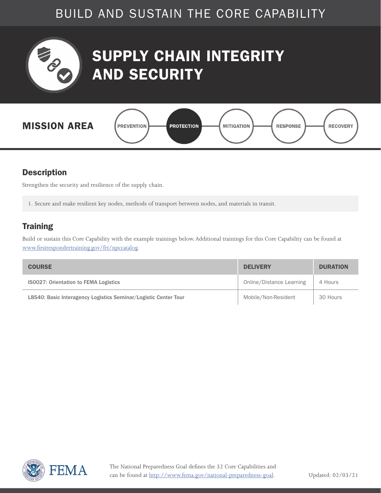<span id="page-21-0"></span>

## SUPPLY CHAIN INTEGRITY AND SECURITY



#### **Description**

Strengthen the security and resilience of the supply chain.

1. Secure and make resilient key nodes, methods of transport between nodes, and materials in transit.

#### **Training**

| <b>COURSE</b>                                                   | <b>DELIVERY</b>          | <b>DURATION</b> |
|-----------------------------------------------------------------|--------------------------|-----------------|
| <b>ISO027: Orientation to FEMA Logistics</b>                    | Online/Distance Learning | 4 Hours         |
| L8540: Basic Interagency Logistics Seminar/Logistic Center Tour | Mobile/Non-Resident      | 30 Hours        |